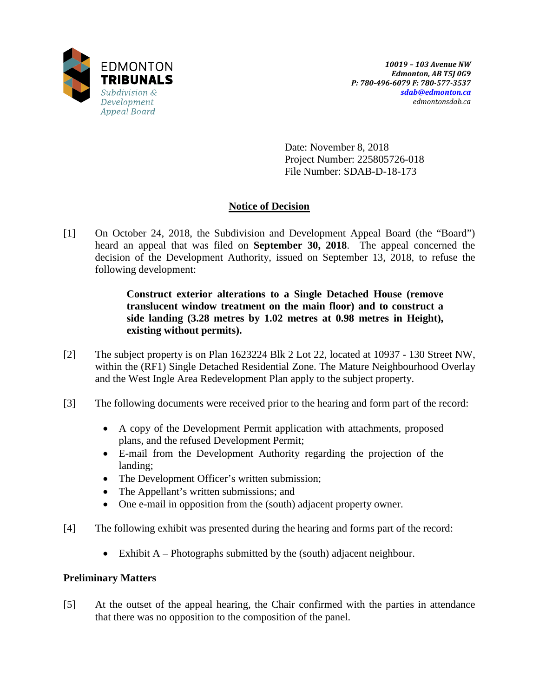

Date: November 8, 2018 Project Number: 225805726-018 File Number: SDAB-D-18-173

# **Notice of Decision**

[1] On October 24, 2018, the Subdivision and Development Appeal Board (the "Board") heard an appeal that was filed on **September 30, 2018**. The appeal concerned the decision of the Development Authority, issued on September 13, 2018, to refuse the following development:

> **Construct exterior alterations to a Single Detached House (remove translucent window treatment on the main floor) and to construct a side landing (3.28 metres by 1.02 metres at 0.98 metres in Height), existing without permits).**

- [2] The subject property is on Plan 1623224 Blk 2 Lot 22, located at 10937 130 Street NW, within the (RF1) Single Detached Residential Zone. The Mature Neighbourhood Overlay and the West Ingle Area Redevelopment Plan apply to the subject property.
- [3] The following documents were received prior to the hearing and form part of the record:
	- A copy of the Development Permit application with attachments, proposed plans, and the refused Development Permit;
	- E-mail from the Development Authority regarding the projection of the landing;
	- The Development Officer's written submission;
	- The Appellant's written submissions; and
	- One e-mail in opposition from the (south) adjacent property owner.
- [4] The following exhibit was presented during the hearing and forms part of the record:
	- Exhibit A Photographs submitted by the (south) adjacent neighbour.

# **Preliminary Matters**

[5] At the outset of the appeal hearing, the Chair confirmed with the parties in attendance that there was no opposition to the composition of the panel.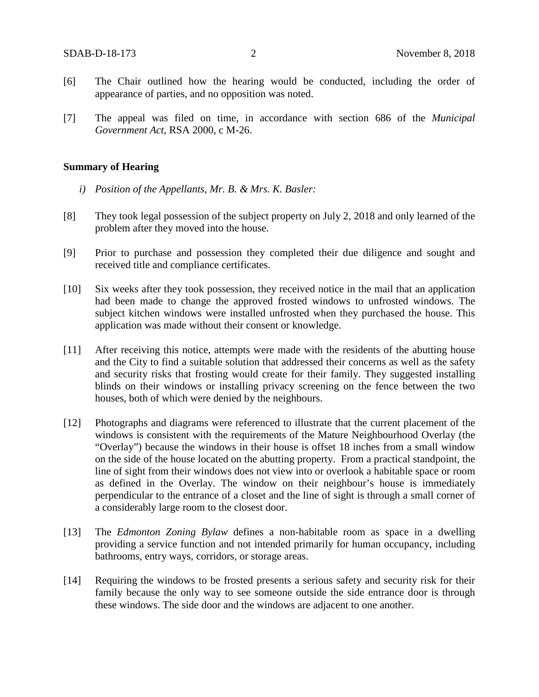- [6] The Chair outlined how the hearing would be conducted, including the order of appearance of parties, and no opposition was noted.
- [7] The appeal was filed on time, in accordance with section 686 of the *Municipal Government Act*, RSA 2000, c M-26.

### **Summary of Hearing**

- *i) Position of the Appellants, Mr. B. & Mrs. K. Basler:*
- [8] They took legal possession of the subject property on July 2, 2018 and only learned of the problem after they moved into the house.
- [9] Prior to purchase and possession they completed their due diligence and sought and received title and compliance certificates.
- [10] Six weeks after they took possession, they received notice in the mail that an application had been made to change the approved frosted windows to unfrosted windows. The subject kitchen windows were installed unfrosted when they purchased the house. This application was made without their consent or knowledge.
- [11] After receiving this notice, attempts were made with the residents of the abutting house and the City to find a suitable solution that addressed their concerns as well as the safety and security risks that frosting would create for their family. They suggested installing blinds on their windows or installing privacy screening on the fence between the two houses, both of which were denied by the neighbours.
- [12] Photographs and diagrams were referenced to illustrate that the current placement of the windows is consistent with the requirements of the Mature Neighbourhood Overlay (the "Overlay") because the windows in their house is offset 18 inches from a small window on the side of the house located on the abutting property. From a practical standpoint, the line of sight from their windows does not view into or overlook a habitable space or room as defined in the Overlay. The window on their neighbour's house is immediately perpendicular to the entrance of a closet and the line of sight is through a small corner of a considerably large room to the closest door.
- [13] The *Edmonton Zoning Bylaw* defines a non-habitable room as space in a dwelling providing a service function and not intended primarily for human occupancy, including bathrooms, entry ways, corridors, or storage areas.
- [14] Requiring the windows to be frosted presents a serious safety and security risk for their family because the only way to see someone outside the side entrance door is through these windows. The side door and the windows are adjacent to one another.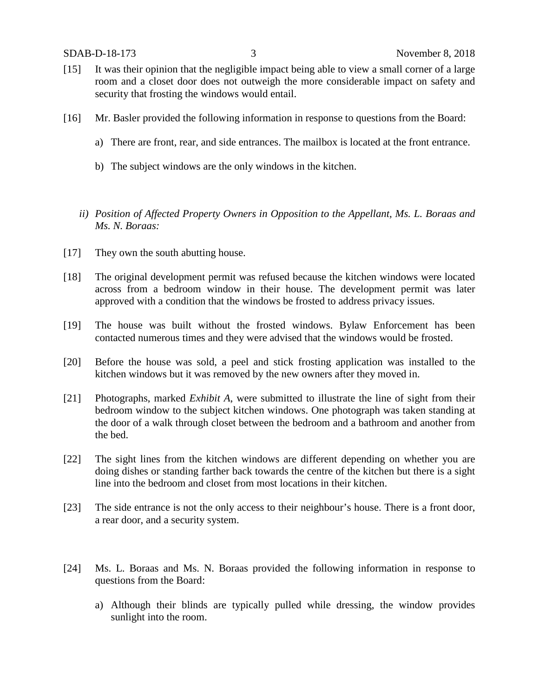- [15] It was their opinion that the negligible impact being able to view a small corner of a large room and a closet door does not outweigh the more considerable impact on safety and security that frosting the windows would entail.
- [16] Mr. Basler provided the following information in response to questions from the Board:
	- a) There are front, rear, and side entrances. The mailbox is located at the front entrance.
	- b) The subject windows are the only windows in the kitchen.
	- *ii) Position of Affected Property Owners in Opposition to the Appellant, Ms. L. Boraas and Ms. N. Boraas:*
- [17] They own the south abutting house.
- [18] The original development permit was refused because the kitchen windows were located across from a bedroom window in their house. The development permit was later approved with a condition that the windows be frosted to address privacy issues.
- [19] The house was built without the frosted windows. Bylaw Enforcement has been contacted numerous times and they were advised that the windows would be frosted.
- [20] Before the house was sold, a peel and stick frosting application was installed to the kitchen windows but it was removed by the new owners after they moved in.
- [21] Photographs, marked *Exhibit A*, were submitted to illustrate the line of sight from their bedroom window to the subject kitchen windows. One photograph was taken standing at the door of a walk through closet between the bedroom and a bathroom and another from the bed.
- [22] The sight lines from the kitchen windows are different depending on whether you are doing dishes or standing farther back towards the centre of the kitchen but there is a sight line into the bedroom and closet from most locations in their kitchen.
- [23] The side entrance is not the only access to their neighbour's house. There is a front door, a rear door, and a security system.
- [24] Ms. L. Boraas and Ms. N. Boraas provided the following information in response to questions from the Board:
	- a) Although their blinds are typically pulled while dressing, the window provides sunlight into the room.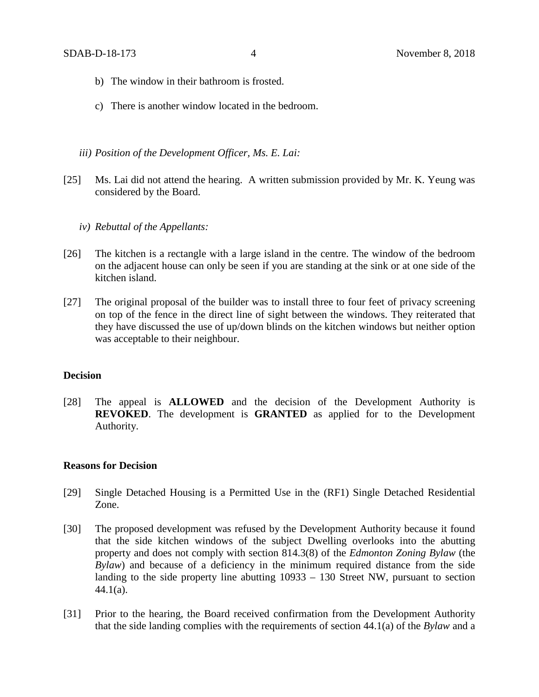- b) The window in their bathroom is frosted.
- c) There is another window located in the bedroom.
- *iii) Position of the Development Officer, Ms. E. Lai:*
- [25] Ms. Lai did not attend the hearing. A written submission provided by Mr. K. Yeung was considered by the Board.
	- *iv) Rebuttal of the Appellants:*
- [26] The kitchen is a rectangle with a large island in the centre. The window of the bedroom on the adjacent house can only be seen if you are standing at the sink or at one side of the kitchen island.
- [27] The original proposal of the builder was to install three to four feet of privacy screening on top of the fence in the direct line of sight between the windows. They reiterated that they have discussed the use of up/down blinds on the kitchen windows but neither option was acceptable to their neighbour.

#### **Decision**

[28] The appeal is **ALLOWED** and the decision of the Development Authority is **REVOKED**. The development is **GRANTED** as applied for to the Development Authority.

### **Reasons for Decision**

- [29] Single Detached Housing is a Permitted Use in the (RF1) Single Detached Residential Zone.
- [30] The proposed development was refused by the Development Authority because it found that the side kitchen windows of the subject Dwelling overlooks into the abutting property and does not comply with section 814.3(8) of the *Edmonton Zoning Bylaw* (the *Bylaw*) and because of a deficiency in the minimum required distance from the side landing to the side property line abutting 10933 – 130 Street NW, pursuant to section 44.1(a).
- [31] Prior to the hearing, the Board received confirmation from the Development Authority that the side landing complies with the requirements of section 44.1(a) of the *Bylaw* and a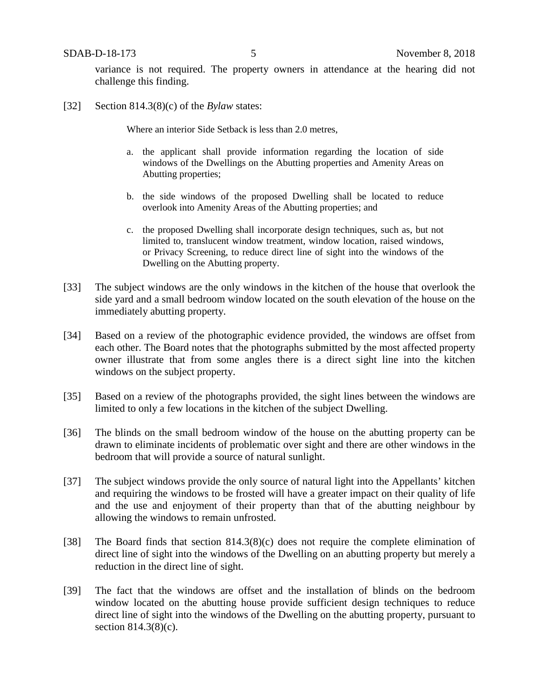variance is not required. The property owners in attendance at the hearing did not challenge this finding.

[32] Section 814.3(8)(c) of the *Bylaw* states:

Where an interior Side Setback is less than 2.0 metres,

- a. the applicant shall provide information regarding the location of side windows of the Dwellings on the Abutting properties and Amenity Areas on Abutting properties;
- b. the side windows of the proposed Dwelling shall be located to reduce overlook into Amenity Areas of the Abutting properties; and
- c. the proposed Dwelling shall incorporate design techniques, such as, but not limited to, translucent window treatment, window location, raised windows, or Privacy Screening, to reduce direct line of sight into the windows of the Dwelling on the Abutting property.
- [33] The subject windows are the only windows in the kitchen of the house that overlook the side yard and a small bedroom window located on the south elevation of the house on the immediately abutting property.
- [34] Based on a review of the photographic evidence provided, the windows are offset from each other. The Board notes that the photographs submitted by the most affected property owner illustrate that from some angles there is a direct sight line into the kitchen windows on the subject property.
- [35] Based on a review of the photographs provided, the sight lines between the windows are limited to only a few locations in the kitchen of the subject Dwelling.
- [36] The blinds on the small bedroom window of the house on the abutting property can be drawn to eliminate incidents of problematic over sight and there are other windows in the bedroom that will provide a source of natural sunlight.
- [37] The subject windows provide the only source of natural light into the Appellants' kitchen and requiring the windows to be frosted will have a greater impact on their quality of life and the use and enjoyment of their property than that of the abutting neighbour by allowing the windows to remain unfrosted.
- [38] The Board finds that section 814.3(8)(c) does not require the complete elimination of direct line of sight into the windows of the Dwelling on an abutting property but merely a reduction in the direct line of sight.
- [39] The fact that the windows are offset and the installation of blinds on the bedroom window located on the abutting house provide sufficient design techniques to reduce direct line of sight into the windows of the Dwelling on the abutting property, pursuant to section 814.3(8)(c).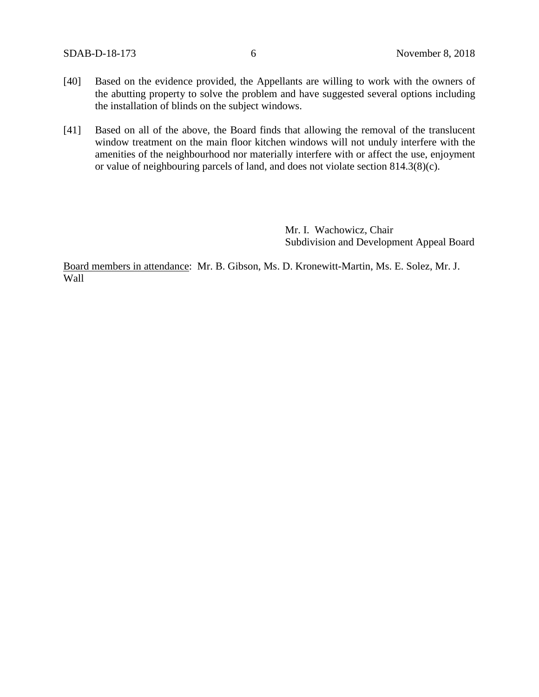- [40] Based on the evidence provided, the Appellants are willing to work with the owners of the abutting property to solve the problem and have suggested several options including the installation of blinds on the subject windows.
- [41] Based on all of the above, the Board finds that allowing the removal of the translucent window treatment on the main floor kitchen windows will not unduly interfere with the amenities of the neighbourhood nor materially interfere with or affect the use, enjoyment or value of neighbouring parcels of land, and does not violate section 814.3(8)(c).

Mr. I. Wachowicz, Chair Subdivision and Development Appeal Board

Board members in attendance: Mr. B. Gibson, Ms. D. Kronewitt-Martin, Ms. E. Solez, Mr. J. Wall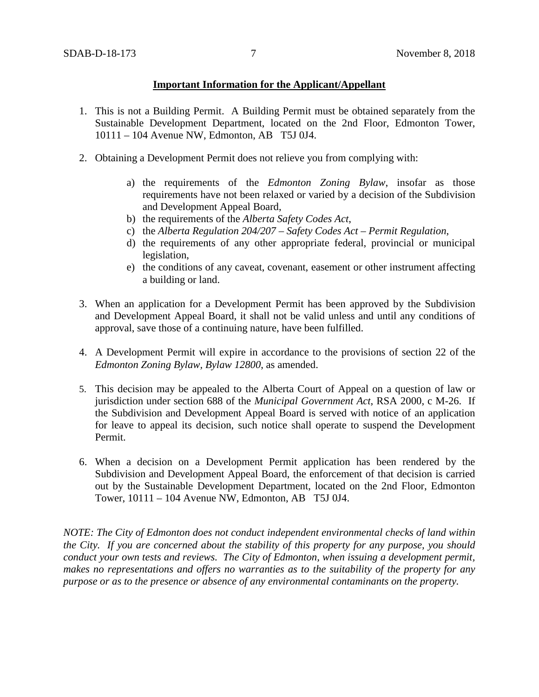### **Important Information for the Applicant/Appellant**

- 1. This is not a Building Permit. A Building Permit must be obtained separately from the Sustainable Development Department, located on the 2nd Floor, Edmonton Tower, 10111 – 104 Avenue NW, Edmonton, AB T5J 0J4.
- 2. Obtaining a Development Permit does not relieve you from complying with:
	- a) the requirements of the *Edmonton Zoning Bylaw*, insofar as those requirements have not been relaxed or varied by a decision of the Subdivision and Development Appeal Board,
	- b) the requirements of the *Alberta Safety Codes Act*,
	- c) the *Alberta Regulation 204/207 – Safety Codes Act – Permit Regulation*,
	- d) the requirements of any other appropriate federal, provincial or municipal legislation,
	- e) the conditions of any caveat, covenant, easement or other instrument affecting a building or land.
- 3. When an application for a Development Permit has been approved by the Subdivision and Development Appeal Board, it shall not be valid unless and until any conditions of approval, save those of a continuing nature, have been fulfilled.
- 4. A Development Permit will expire in accordance to the provisions of section 22 of the *Edmonton Zoning Bylaw, Bylaw 12800*, as amended.
- 5. This decision may be appealed to the Alberta Court of Appeal on a question of law or jurisdiction under section 688 of the *Municipal Government Act*, RSA 2000, c M-26. If the Subdivision and Development Appeal Board is served with notice of an application for leave to appeal its decision, such notice shall operate to suspend the Development Permit.
- 6. When a decision on a Development Permit application has been rendered by the Subdivision and Development Appeal Board, the enforcement of that decision is carried out by the Sustainable Development Department, located on the 2nd Floor, Edmonton Tower, 10111 – 104 Avenue NW, Edmonton, AB T5J 0J4.

*NOTE: The City of Edmonton does not conduct independent environmental checks of land within the City. If you are concerned about the stability of this property for any purpose, you should conduct your own tests and reviews. The City of Edmonton, when issuing a development permit, makes no representations and offers no warranties as to the suitability of the property for any purpose or as to the presence or absence of any environmental contaminants on the property.*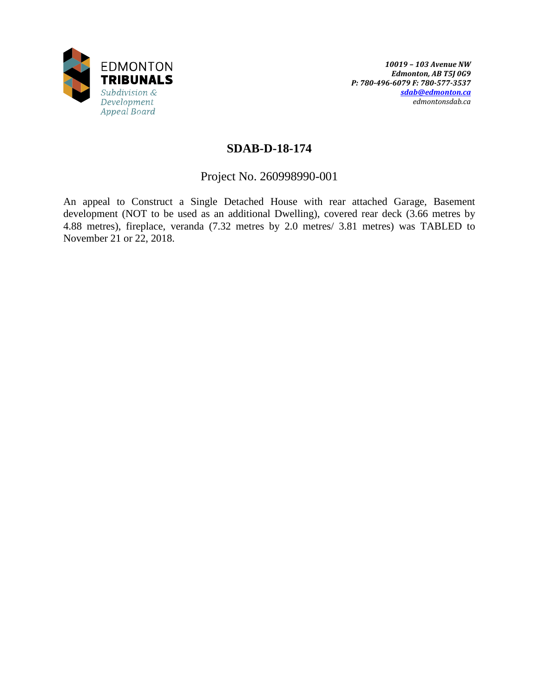

# **SDAB-D-18-174**

Project No. 260998990-001

An appeal to Construct a Single Detached House with rear attached Garage, Basement development (NOT to be used as an additional Dwelling), covered rear deck (3.66 metres by 4.88 metres), fireplace, veranda (7.32 metres by 2.0 metres/ 3.81 metres) was TABLED to November 21 or 22, 2018.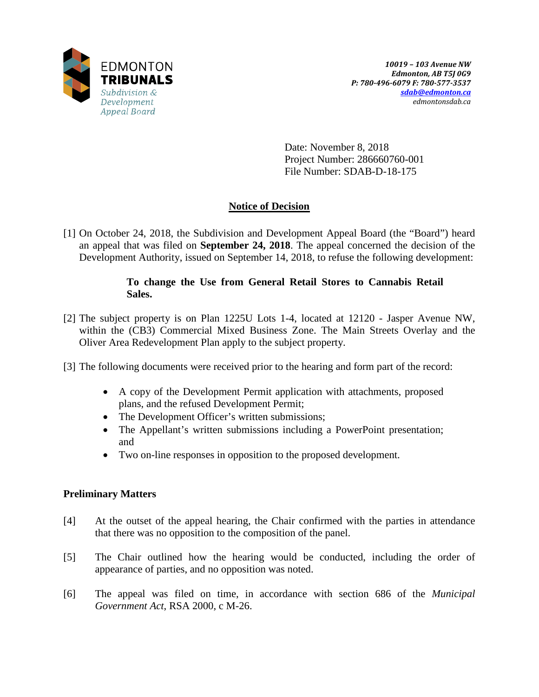

Date: November 8, 2018 Project Number: 286660760-001 File Number: SDAB-D-18-175

# **Notice of Decision**

[1] On October 24, 2018, the Subdivision and Development Appeal Board (the "Board") heard an appeal that was filed on **September 24, 2018**. The appeal concerned the decision of the Development Authority, issued on September 14, 2018, to refuse the following development:

# **To change the Use from General Retail Stores to Cannabis Retail Sales.**

- [2] The subject property is on Plan 1225U Lots 1-4, located at 12120 Jasper Avenue NW, within the (CB3) Commercial Mixed Business Zone. The Main Streets Overlay and the Oliver Area Redevelopment Plan apply to the subject property.
- [3] The following documents were received prior to the hearing and form part of the record:
	- A copy of the Development Permit application with attachments, proposed plans, and the refused Development Permit;
	- The Development Officer's written submissions;
	- The Appellant's written submissions including a PowerPoint presentation; and
	- Two on-line responses in opposition to the proposed development.

# **Preliminary Matters**

- [4] At the outset of the appeal hearing, the Chair confirmed with the parties in attendance that there was no opposition to the composition of the panel.
- [5] The Chair outlined how the hearing would be conducted, including the order of appearance of parties, and no opposition was noted.
- [6] The appeal was filed on time, in accordance with section 686 of the *Municipal Government Act*, RSA 2000, c M-26.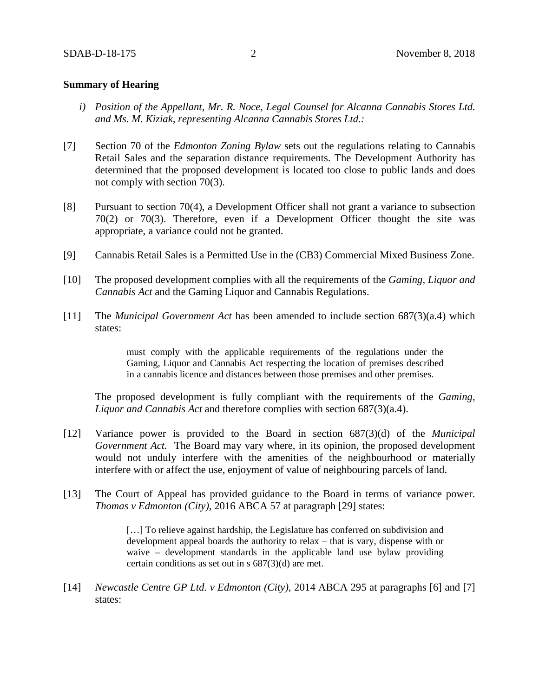### **Summary of Hearing**

- *i) Position of the Appellant, Mr. R. Noce, Legal Counsel for Alcanna Cannabis Stores Ltd. and Ms. M. Kiziak, representing Alcanna Cannabis Stores Ltd.:*
- [7] Section 70 of the *Edmonton Zoning Bylaw* sets out the regulations relating to Cannabis Retail Sales and the separation distance requirements. The Development Authority has determined that the proposed development is located too close to public lands and does not comply with section 70(3).
- [8] Pursuant to section 70(4), a Development Officer shall not grant a variance to subsection 70(2) or 70(3). Therefore, even if a Development Officer thought the site was appropriate, a variance could not be granted.
- [9] Cannabis Retail Sales is a Permitted Use in the (CB3) Commercial Mixed Business Zone.
- [10] The proposed development complies with all the requirements of the *Gaming, Liquor and Cannabis Act* and the Gaming Liquor and Cannabis Regulations.
- [11] The *Municipal Government Act* has been amended to include section 687(3)(a.4) which states:

must comply with the applicable requirements of the regulations under the Gaming, Liquor and Cannabis Act respecting the location of premises described in a cannabis licence and distances between those premises and other premises.

The proposed development is fully compliant with the requirements of the *Gaming, Liquor and Cannabis Act* and therefore complies with section 687(3)(a.4).

- [12] Variance power is provided to the Board in section 687(3)(d) of the *Municipal Government Act.* The Board may vary where, in its opinion, the proposed development would not unduly interfere with the amenities of the neighbourhood or materially interfere with or affect the use, enjoyment of value of neighbouring parcels of land.
- [13] The Court of Appeal has provided guidance to the Board in terms of variance power. *Thomas v Edmonton (City)*, 2016 ABCA 57 at paragraph [29] states:

[...] To relieve against hardship, the Legislature has conferred on subdivision and development appeal boards the authority to relax – that is vary, dispense with or waive – development standards in the applicable land use bylaw providing certain conditions as set out in s 687(3)(d) are met.

[14] *Newcastle Centre GP Ltd. v Edmonton (City)*, 2014 ABCA 295 at paragraphs [6] and [7] states: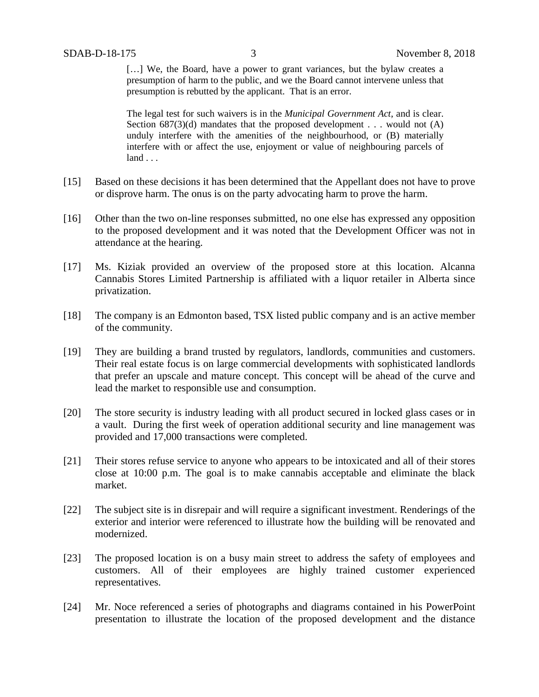[...] We, the Board, have a power to grant variances, but the bylaw creates a presumption of harm to the public, and we the Board cannot intervene unless that presumption is rebutted by the applicant. That is an error.

The legal test for such waivers is in the *Municipal Government Act*, and is clear. Section  $687(3)(d)$  mandates that the proposed development . . . would not  $(A)$ unduly interfere with the amenities of the neighbourhood, or (B) materially interfere with or affect the use, enjoyment or value of neighbouring parcels of land . . .

- [15] Based on these decisions it has been determined that the Appellant does not have to prove or disprove harm. The onus is on the party advocating harm to prove the harm.
- [16] Other than the two on-line responses submitted, no one else has expressed any opposition to the proposed development and it was noted that the Development Officer was not in attendance at the hearing.
- [17] Ms. Kiziak provided an overview of the proposed store at this location. Alcanna Cannabis Stores Limited Partnership is affiliated with a liquor retailer in Alberta since privatization.
- [18] The company is an Edmonton based, TSX listed public company and is an active member of the community.
- [19] They are building a brand trusted by regulators, landlords, communities and customers. Their real estate focus is on large commercial developments with sophisticated landlords that prefer an upscale and mature concept. This concept will be ahead of the curve and lead the market to responsible use and consumption.
- [20] The store security is industry leading with all product secured in locked glass cases or in a vault. During the first week of operation additional security and line management was provided and 17,000 transactions were completed.
- [21] Their stores refuse service to anyone who appears to be intoxicated and all of their stores close at 10:00 p.m. The goal is to make cannabis acceptable and eliminate the black market.
- [22] The subject site is in disrepair and will require a significant investment. Renderings of the exterior and interior were referenced to illustrate how the building will be renovated and modernized.
- [23] The proposed location is on a busy main street to address the safety of employees and customers. All of their employees are highly trained customer experienced representatives.
- [24] Mr. Noce referenced a series of photographs and diagrams contained in his PowerPoint presentation to illustrate the location of the proposed development and the distance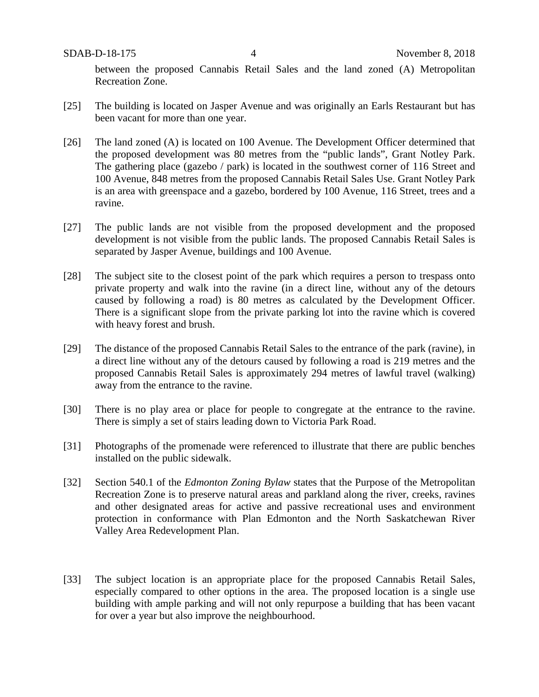between the proposed Cannabis Retail Sales and the land zoned (A) Metropolitan Recreation Zone.

- [25] The building is located on Jasper Avenue and was originally an Earls Restaurant but has been vacant for more than one year.
- [26] The land zoned (A) is located on 100 Avenue. The Development Officer determined that the proposed development was 80 metres from the "public lands", Grant Notley Park. The gathering place (gazebo / park) is located in the southwest corner of 116 Street and 100 Avenue, 848 metres from the proposed Cannabis Retail Sales Use. Grant Notley Park is an area with greenspace and a gazebo, bordered by 100 Avenue, 116 Street, trees and a ravine.
- [27] The public lands are not visible from the proposed development and the proposed development is not visible from the public lands. The proposed Cannabis Retail Sales is separated by Jasper Avenue, buildings and 100 Avenue.
- [28] The subject site to the closest point of the park which requires a person to trespass onto private property and walk into the ravine (in a direct line, without any of the detours caused by following a road) is 80 metres as calculated by the Development Officer. There is a significant slope from the private parking lot into the ravine which is covered with heavy forest and brush.
- [29] The distance of the proposed Cannabis Retail Sales to the entrance of the park (ravine), in a direct line without any of the detours caused by following a road is 219 metres and the proposed Cannabis Retail Sales is approximately 294 metres of lawful travel (walking) away from the entrance to the ravine.
- [30] There is no play area or place for people to congregate at the entrance to the ravine. There is simply a set of stairs leading down to Victoria Park Road.
- [31] Photographs of the promenade were referenced to illustrate that there are public benches installed on the public sidewalk.
- [32] Section 540.1 of the *Edmonton Zoning Bylaw* states that the Purpose of the Metropolitan Recreation Zone is to preserve natural areas and parkland along the river, creeks, ravines and other designated areas for active and passive recreational uses and environment protection in conformance with Plan Edmonton and the North Saskatchewan River Valley Area Redevelopment Plan.
- [33] The subject location is an appropriate place for the proposed Cannabis Retail Sales, especially compared to other options in the area. The proposed location is a single use building with ample parking and will not only repurpose a building that has been vacant for over a year but also improve the neighbourhood.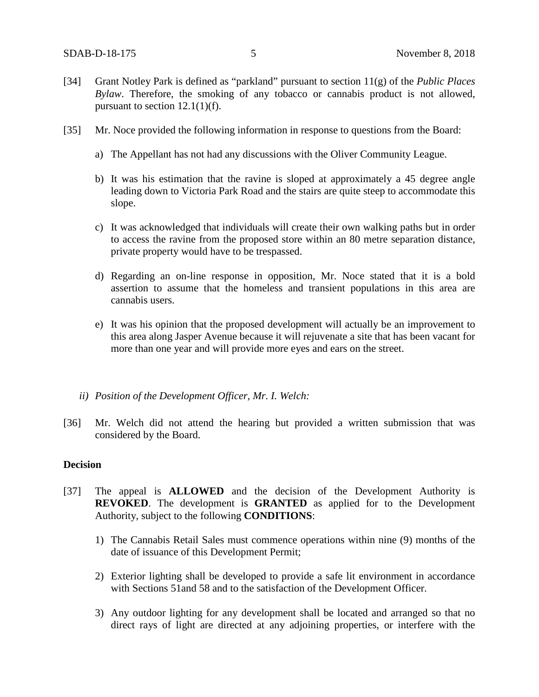- [34] Grant Notley Park is defined as "parkland" pursuant to section 11(g) of the *Public Places Bylaw*. Therefore, the smoking of any tobacco or cannabis product is not allowed, pursuant to section  $12.1(1)(f)$ .
- [35] Mr. Noce provided the following information in response to questions from the Board:
	- a) The Appellant has not had any discussions with the Oliver Community League.
	- b) It was his estimation that the ravine is sloped at approximately a 45 degree angle leading down to Victoria Park Road and the stairs are quite steep to accommodate this slope.
	- c) It was acknowledged that individuals will create their own walking paths but in order to access the ravine from the proposed store within an 80 metre separation distance, private property would have to be trespassed.
	- d) Regarding an on-line response in opposition, Mr. Noce stated that it is a bold assertion to assume that the homeless and transient populations in this area are cannabis users.
	- e) It was his opinion that the proposed development will actually be an improvement to this area along Jasper Avenue because it will rejuvenate a site that has been vacant for more than one year and will provide more eyes and ears on the street.
	- *ii) Position of the Development Officer, Mr. I. Welch:*
- [36] Mr. Welch did not attend the hearing but provided a written submission that was considered by the Board.

## **Decision**

- [37] The appeal is **ALLOWED** and the decision of the Development Authority is **REVOKED**. The development is **GRANTED** as applied for to the Development Authority, subject to the following **CONDITIONS**:
	- 1) The Cannabis Retail Sales must commence operations within nine (9) months of the date of issuance of this Development Permit;
	- 2) Exterior lighting shall be developed to provide a safe lit environment in accordance with Sections 51and 58 and to the satisfaction of the Development Officer.
	- 3) Any outdoor lighting for any development shall be located and arranged so that no direct rays of light are directed at any adjoining properties, or interfere with the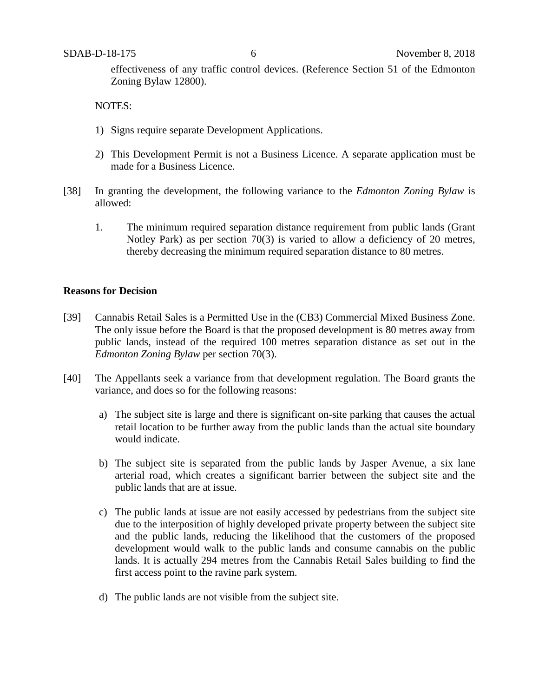effectiveness of any traffic control devices. (Reference Section 51 of the Edmonton Zoning Bylaw 12800).

NOTES:

- 1) Signs require separate Development Applications.
- 2) This Development Permit is not a Business Licence. A separate application must be made for a Business Licence.
- [38] In granting the development, the following variance to the *Edmonton Zoning Bylaw* is allowed:
	- 1. The minimum required separation distance requirement from public lands (Grant Notley Park) as per section 70(3) is varied to allow a deficiency of 20 metres, thereby decreasing the minimum required separation distance to 80 metres.

### **Reasons for Decision**

- [39] Cannabis Retail Sales is a Permitted Use in the (CB3) Commercial Mixed Business Zone. The only issue before the Board is that the proposed development is 80 metres away from public lands, instead of the required 100 metres separation distance as set out in the *Edmonton Zoning Bylaw* per section 70(3).
- [40] The Appellants seek a variance from that development regulation. The Board grants the variance, and does so for the following reasons:
	- a) The subject site is large and there is significant on-site parking that causes the actual retail location to be further away from the public lands than the actual site boundary would indicate.
	- b) The subject site is separated from the public lands by Jasper Avenue, a six lane arterial road, which creates a significant barrier between the subject site and the public lands that are at issue.
	- c) The public lands at issue are not easily accessed by pedestrians from the subject site due to the interposition of highly developed private property between the subject site and the public lands, reducing the likelihood that the customers of the proposed development would walk to the public lands and consume cannabis on the public lands. It is actually 294 metres from the Cannabis Retail Sales building to find the first access point to the ravine park system.
	- d) The public lands are not visible from the subject site.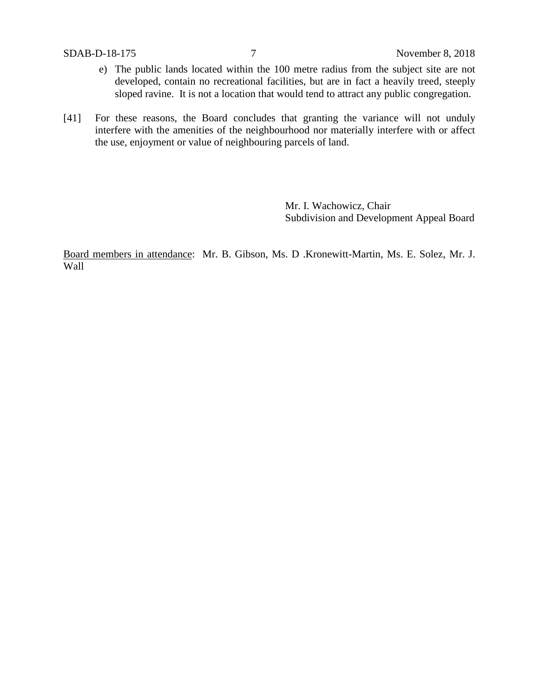- e) The public lands located within the 100 metre radius from the subject site are not developed, contain no recreational facilities, but are in fact a heavily treed, steeply sloped ravine. It is not a location that would tend to attract any public congregation.
- [41] For these reasons, the Board concludes that granting the variance will not unduly interfere with the amenities of the neighbourhood nor materially interfere with or affect the use, enjoyment or value of neighbouring parcels of land.

Mr. I. Wachowicz, Chair Subdivision and Development Appeal Board

Board members in attendance: Mr. B. Gibson, Ms. D .Kronewitt-Martin, Ms. E. Solez, Mr. J. Wall